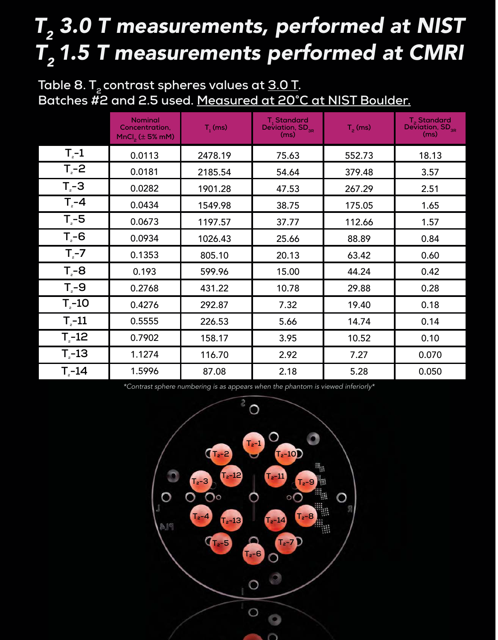# T<sub>2</sub> 3.0 T measurements, performed at NIST T<sub>2</sub> 1.5 T measurements performed at CMRI

Table 8.  $T_{2}$  contrast spheres values at  $\underline{3.0 T}$ . **Batches #2 and 2.5 used. Measured at 20°C at NIST Boulder.**

|                    | <b>Nominal</b><br>Concentration,<br>$MnCl2$ ( $\pm$ 5% mM) | $T_1$ (ms) | T <sub>1</sub> Standard<br>Deviation, SD $_{_{\mathrm{3R}}}$<br>(ms) | $T_p$ (ms) | T <sub>2</sub> Standard<br>Deviation, $SD_{_{3R}}$<br>(ms) |
|--------------------|------------------------------------------------------------|------------|----------------------------------------------------------------------|------------|------------------------------------------------------------|
| $T_{\rm e}$ -1     | 0.0113                                                     | 2478.19    | 75.63                                                                | 552.73     | 18.13                                                      |
| $T_{e}$ -2         | 0.0181                                                     | 2185.54    | 54.64                                                                | 379.48     | 3.57                                                       |
| $T - 3$            | 0.0282                                                     | 1901.28    | 47.53                                                                | 267.29     | 2.51                                                       |
| $T - 4$            | 0.0434                                                     | 1549.98    | 38.75                                                                | 175.05     | 1.65                                                       |
| $T2-5$             | 0.0673                                                     | 1197.57    | 37.77                                                                | 112.66     | 1.57                                                       |
| $T - 6$            | 0.0934                                                     | 1026.43    | 25.66                                                                | 88.89      | 0.84                                                       |
| $T_{\rm e}$ -7     | 0.1353                                                     | 805.10     | 20.13                                                                | 63.42      | 0.60                                                       |
| $T_{e}$ -8         | 0.193                                                      | 599.96     | 15.00                                                                | 44.24      | 0.42                                                       |
| $T_{e}$ -9         | 0.2768                                                     | 431.22     | 10.78                                                                | 29.88      | 0.28                                                       |
| $T - 10$           | 0.4276                                                     | 292.87     | 7.32                                                                 | 19.40      | 0.18                                                       |
| $T_{\text{e}}$ -11 | 0.5555                                                     | 226.53     | 5.66                                                                 | 14.74      | 0.14                                                       |
| $T_{\text{e}}$ -12 | 0.7902                                                     | 158.17     | 3.95                                                                 | 10.52      | 0.10                                                       |
| $T - 13$           | 1.1274                                                     | 116.70     | 2.92                                                                 | 7.27       | 0.070                                                      |
| $T - 14$           | 1.5996                                                     | 87.08      | 2.18                                                                 | 5.28       | 0.050                                                      |

\*Contrast sphere numbering is as appears when the phantom is viewed inferiorly\*

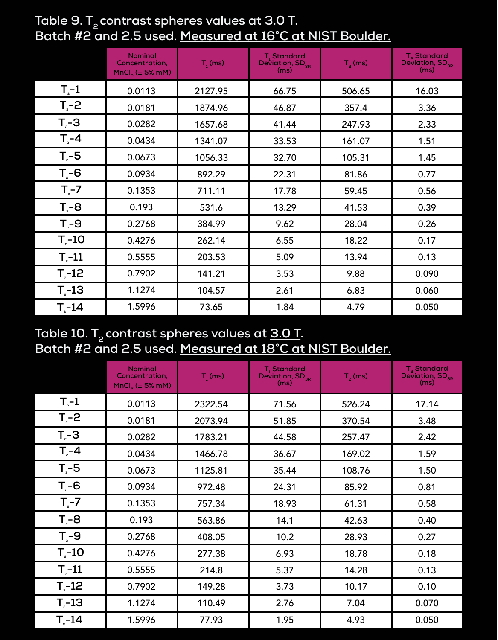## **Table 9. T2 contrast spheres values at 3.0 T. Batch #2 and 2.5 used. Measured at 16°C at NIST Boulder.**

|                                | <b>Nominal</b><br>Concentration,<br>$MnCl2$ ( $\pm$ 5% mM) | $T_1$ (ms) | T <sub>1</sub> Standard<br>Deviation, $SD_{3R}$ (ms) | $T2$ (ms) | T <sub>2</sub> Standard<br>Deviation, $\mathsf{SD}_\mathsf{3R}$<br>(ms) |
|--------------------------------|------------------------------------------------------------|------------|------------------------------------------------------|-----------|-------------------------------------------------------------------------|
| $T_{2}$ -1                     | 0.0113                                                     | 2127.95    | 66.75                                                | 506.65    | 16.03                                                                   |
| $T_z - 2$                      | 0.0181                                                     | 1874.96    | 46.87                                                | 357.4     | 3.36                                                                    |
| $Tz - 3$                       | 0.0282                                                     | 1657.68    | 41.44                                                | 247.93    | 2.33                                                                    |
| $T_{e}$ -4                     | 0.0434                                                     | 1341.07    | 33.53                                                | 161.07    | 1.51                                                                    |
| $T_e$ -5                       | 0.0673                                                     | 1056.33    | 32.70                                                | 105.31    | 1.45                                                                    |
| $T - 6$                        | 0.0934                                                     | 892.29     | 22.31                                                | 81.86     | 0.77                                                                    |
| $T_{\text{e}}$ -7              | 0.1353                                                     | 711.11     | 17.78                                                | 59.45     | 0.56                                                                    |
| $T_{e}$ -8                     | 0.193                                                      | 531.6      | 13.29                                                | 41.53     | 0.39                                                                    |
| $T - 9$                        | 0.2768                                                     | 384.99     | 9.62                                                 | 28.04     | 0.26                                                                    |
| $T_{\text{e}}$ -10             | 0.4276                                                     | 262.14     | 6.55                                                 | 18.22     | 0.17                                                                    |
| $T_{\scriptscriptstyle e}$ -11 | 0.5555                                                     | 203.53     | 5.09                                                 | 13.94     | 0.13                                                                    |
| $T_{\scriptscriptstyle e}$ -12 | 0.7902                                                     | 141.21     | 3.53                                                 | 9.88      | 0.090                                                                   |
| $T - 13$                       | 1.1274                                                     | 104.57     | 2.61                                                 | 6.83      | 0.060                                                                   |
| $T - 14$                       | 1.5996                                                     | 73.65      | 1.84                                                 | 4.79      | 0.050                                                                   |

#### **Table 10. T2 contrast spheres values at 3.0 T. Batch #2 and 2.5 used. Measured at 18°C at NIST Boulder.**

|                               | <b>Nominal</b><br>Concentration,<br>MnCl <sub>2</sub> ( $\pm$ 5% mM) | $T_1$ (ms) | T <sub>1</sub> Standard<br>Deviation, $SD_{_{3R}}$<br>(ms) | $T2$ (ms) | T <sub>2</sub> Standard<br>Deviation, $\mathsf{SD}_\mathsf{3R}$<br>(ms) |
|-------------------------------|----------------------------------------------------------------------|------------|------------------------------------------------------------|-----------|-------------------------------------------------------------------------|
| $T_{\scriptscriptstyle e}$ -1 | 0.0113                                                               | 2322.54    | 71.56                                                      | 526.24    | 17.14                                                                   |
| $T_{e}$ -2                    | 0.0181                                                               | 2073.94    | 51.85                                                      | 370.54    | 3.48                                                                    |
| $T_{e}$ -3                    | 0.0282                                                               | 1783.21    | 44.58                                                      | 257.47    | 2.42                                                                    |
| $T - 4$                       | 0.0434                                                               | 1466.78    | 36.67                                                      | 169.02    | 1.59                                                                    |
| $T_{e}$ -5                    | 0.0673                                                               | 1125.81    | 35.44                                                      | 108.76    | 1.50                                                                    |
| $T_{e}$ -6                    | 0.0934                                                               | 972.48     | 24.31                                                      | 85.92     | 0.81                                                                    |
| $Te-7$                        | 0.1353                                                               | 757.34     | 18.93                                                      | 61.31     | 0.58                                                                    |
| $T - 8$                       | 0.193                                                                | 563.86     | 14.1                                                       | 42.63     | 0.40                                                                    |
| $T_{e}$ -9                    | 0.2768                                                               | 408.05     | 10.2                                                       | 28.93     | 0.27                                                                    |
| $T - 10$                      | 0.4276                                                               | 277.38     | 6.93                                                       | 18.78     | 0.18                                                                    |
| $T_{\text{e}}$ -11            | 0.5555                                                               | 214.8      | 5.37                                                       | 14.28     | 0.13                                                                    |
| $T - 12$                      | 0.7902                                                               | 149.28     | 3.73                                                       | 10.17     | 0.10                                                                    |
| $T_{\text{e}}$ -13            | 1.1274                                                               | 110.49     | 2.76                                                       | 7.04      | 0.070                                                                   |
| $T - 14$                      | 1.5996                                                               | 77.93      | 1.95                                                       | 4.93      | 0.050                                                                   |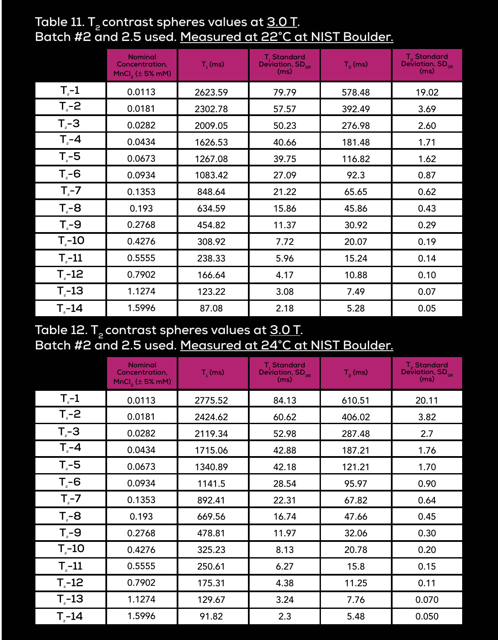# Table 11. T<sub>2</sub> contrast spheres values at <u>3.0 T</u>. **Batch #2 and 2.5 used. Measured at 22°C at NIST Boulder.**

|                    | <b>Nominal</b><br>Concentration,<br>$MnCl2$ ( $\pm$ 5% mM) | $T1$ (ms) | T <sub>1</sub> Standard<br>Deviation, $SD_{_{3R}}$ (ms) | $T2$ (ms) | T <sub>2</sub> Standard<br>Deviation, $SD_{_{\rm SR}}$<br>(ms) |
|--------------------|------------------------------------------------------------|-----------|---------------------------------------------------------|-----------|----------------------------------------------------------------|
| $T_{2}$ -1         | 0.0113                                                     | 2623.59   | 79.79                                                   | 578.48    | 19.02                                                          |
| $T_z - 2$          | 0.0181                                                     | 2302.78   | 57.57                                                   | 392.49    | 3.69                                                           |
| $T - 3$            | 0.0282                                                     | 2009.05   | 50.23                                                   | 276.98    | 2.60                                                           |
| $T_{\rm e}$ -4     | 0.0434                                                     | 1626.53   | 40.66                                                   | 181.48    | 1.71                                                           |
| $T_{\rm g}$ -5     | 0.0673                                                     | 1267.08   | 39.75                                                   | 116.82    | 1.62                                                           |
| $T - 6$            | 0.0934                                                     | 1083.42   | 27.09                                                   | 92.3      | 0.87                                                           |
| $T_{2}$ -7         | 0.1353                                                     | 848.64    | 21.22                                                   | 65.65     | 0.62                                                           |
| $T_{e}$ -8         | 0.193                                                      | 634.59    | 15.86                                                   | 45.86     | 0.43                                                           |
| $T - 9$            | 0.2768                                                     | 454.82    | 11.37                                                   | 30.92     | 0.29                                                           |
| $T_{\text{e}}$ -10 | 0.4276                                                     | 308.92    | 7.72                                                    | 20.07     | 0.19                                                           |
| $T_{\text{e}}$ -11 | 0.5555                                                     | 238.33    | 5.96                                                    | 15.24     | 0.14                                                           |
| $T - 12$           | 0.7902                                                     | 166.64    | 4.17                                                    | 10.88     | 0.10                                                           |
| $T_{e}$ -13        | 1.1274                                                     | 123.22    | 3.08                                                    | 7.49      | 0.07                                                           |
| $T - 14$           | 1.5996                                                     | 87.08     | 2.18                                                    | 5.28      | 0.05                                                           |

## Table 12. T<sub>2</sub> contrast spheres values at <u>3.0 T</u>. **Batch #2 and 2.5 used. Measured at 24°C at NIST Boulder.**

|                    | <b>Nominal</b><br>Concentration,<br>$MnCl2$ ( $\pm$ 5% mM) | $T_1$ (ms) | T <sub>1</sub> Standard<br>Deviation, SD <sub>3R</sub><br>(ms) | $T_p$ (ms) | T <sub>2</sub> Standard<br>Deviation, $SD_{_{\mathrm{3R}}}$<br>(ms) |
|--------------------|------------------------------------------------------------|------------|----------------------------------------------------------------|------------|---------------------------------------------------------------------|
| $T_{2}$ -1         | 0.0113                                                     | 2775.52    | 84.13                                                          | 610.51     | 20.11                                                               |
| $T_{e}$ -2         | 0.0181                                                     | 2424.62    | 60.62                                                          | 406.02     | 3.82                                                                |
| $T - 3$            | 0.0282                                                     | 2119.34    | 52.98                                                          | 287.48     | 2.7                                                                 |
| $T - 4$            | 0.0434                                                     | 1715.06    | 42.88                                                          | 187.21     | 1.76                                                                |
| $T_{\rm e}$ -5     | 0.0673                                                     | 1340.89    | 42.18                                                          | 121.21     | 1.70                                                                |
| $T - 6$            | 0.0934                                                     | 1141.5     | 28.54                                                          | 95.97      | 0.90                                                                |
| $T_{e}$ -7         | 0.1353                                                     | 892.41     | 22.31                                                          | 67.82      | 0.64                                                                |
| $T_{e}$ -8         | 0.193                                                      | 669.56     | 16.74                                                          | 47.66      | 0.45                                                                |
| $T - 9$            | 0.2768                                                     | 478.81     | 11.97                                                          | 32.06      | 0.30                                                                |
| $T_{e}$ -10        | 0.4276                                                     | 325.23     | 8.13                                                           | 20.78      | 0.20                                                                |
| $T - 11$           | 0.5555                                                     | 250.61     | 6.27                                                           | 15.8       | 0.15                                                                |
| $T_{\circ}$ -12    | 0.7902                                                     | 175.31     | 4.38                                                           | 11.25      | 0.11                                                                |
| $T_{\text{e}}$ -13 | 1.1274                                                     | 129.67     | 3.24                                                           | 7.76       | 0.070                                                               |
| $T - 14$           | 1.5996                                                     | 91.82      | 2.3                                                            | 5.48       | 0.050                                                               |